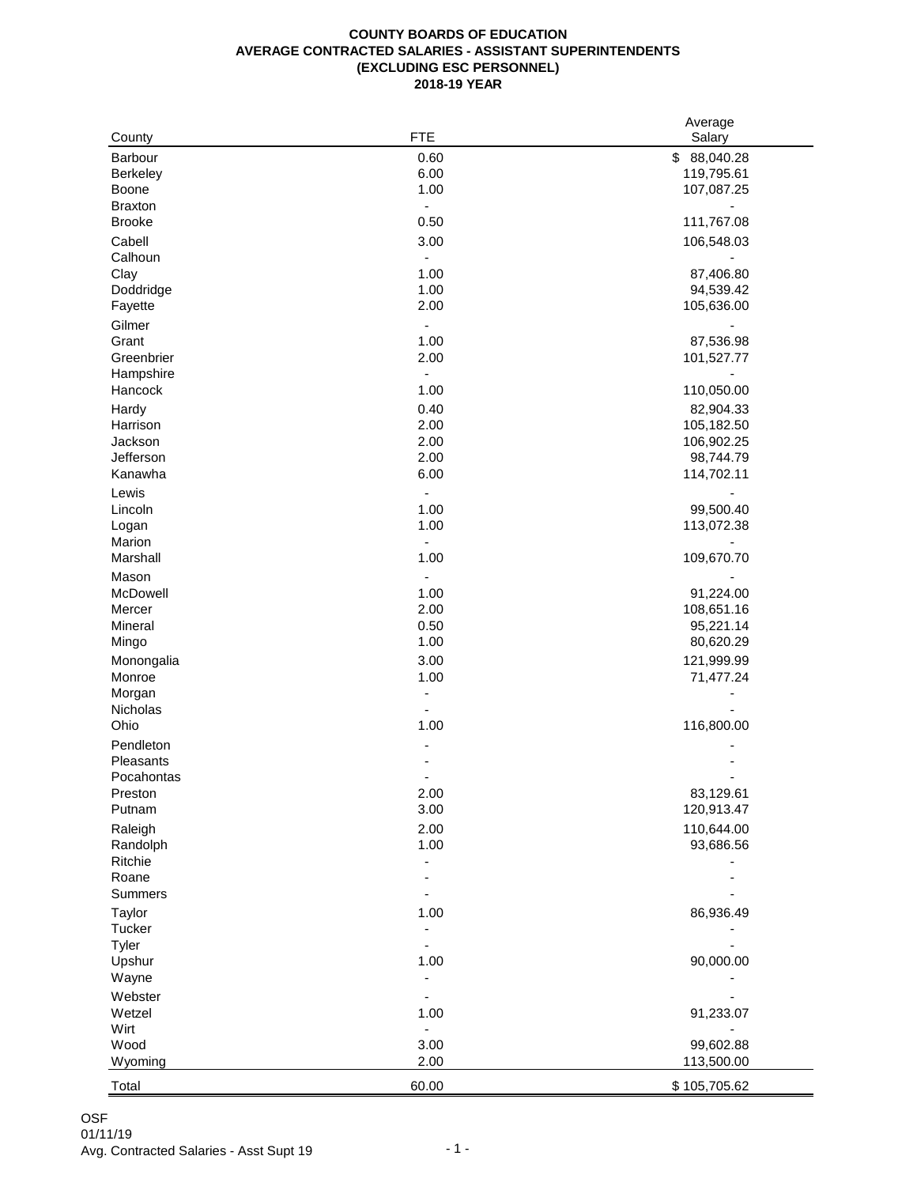## **COUNTY BOARDS OF EDUCATION AVERAGE CONTRACTED SALARIES - ASSISTANT SUPERINTENDENTS (EXCLUDING ESC PERSONNEL) 2018-19 YEAR**

| County         | <b>FTE</b>                   | Average<br>Salary |
|----------------|------------------------------|-------------------|
| Barbour        | 0.60                         | \$ 88,040.28      |
| Berkeley       | 6.00                         | 119,795.61        |
| Boone          | 1.00                         | 107,087.25        |
| <b>Braxton</b> | $\overline{\phantom{a}}$     |                   |
| <b>Brooke</b>  | 0.50                         | 111,767.08        |
| Cabell         | 3.00                         | 106,548.03        |
| Calhoun        | $\overline{\phantom{a}}$     |                   |
| Clay           | 1.00                         | 87,406.80         |
| Doddridge      | 1.00                         | 94,539.42         |
| Fayette        | 2.00                         | 105,636.00        |
| Gilmer         | $\overline{\phantom{a}}$     |                   |
| Grant          | 1.00                         | 87,536.98         |
| Greenbrier     | 2.00                         | 101,527.77        |
| Hampshire      | $\blacksquare$               |                   |
| Hancock        | 1.00                         | 110,050.00        |
| Hardy          | 0.40                         | 82,904.33         |
| Harrison       | 2.00                         | 105,182.50        |
| Jackson        | 2.00                         | 106,902.25        |
| Jefferson      | 2.00                         | 98,744.79         |
| Kanawha        | 6.00                         | 114,702.11        |
| Lewis          | $\blacksquare$               |                   |
| Lincoln        | 1.00                         | 99,500.40         |
| Logan          | 1.00                         | 113,072.38        |
| Marion         | $\Box$                       |                   |
| Marshall       | 1.00                         | 109,670.70        |
| Mason          | $\blacksquare$               |                   |
| McDowell       | 1.00                         | 91,224.00         |
| Mercer         | 2.00                         | 108,651.16        |
| Mineral        | 0.50                         | 95,221.14         |
| Mingo          | 1.00                         | 80,620.29         |
| Monongalia     | 3.00                         | 121,999.99        |
| Monroe         | 1.00                         | 71,477.24         |
| Morgan         | $\blacksquare$               |                   |
| Nicholas       | $\overline{\phantom{m}}$     |                   |
| Ohio           | 1.00                         | 116,800.00        |
| Pendleton      |                              |                   |
| Pleasants      |                              |                   |
| Pocahontas     | $\blacksquare$               |                   |
| Preston        | 2.00                         | 83,129.61         |
| Putnam         | 3.00                         | 120,913.47        |
| Raleigh        | 2.00                         | 110,644.00        |
| Randolph       | 1.00                         | 93,686.56         |
| Ritchie        |                              |                   |
| Roane          |                              |                   |
| Summers        |                              |                   |
| Taylor         | 1.00                         | 86,936.49         |
| Tucker         |                              |                   |
| Tyler          |                              |                   |
| Upshur         | 1.00                         | 90,000.00         |
| Wayne          |                              |                   |
| Webster        |                              |                   |
| Wetzel         | 1.00                         | 91,233.07         |
| Wirt           | $\qquad \qquad \blacksquare$ |                   |
| Wood           | 3.00                         | 99,602.88         |
| Wyoming        | 2.00                         | 113,500.00        |
| Total          | 60.00                        | \$105,705.62      |